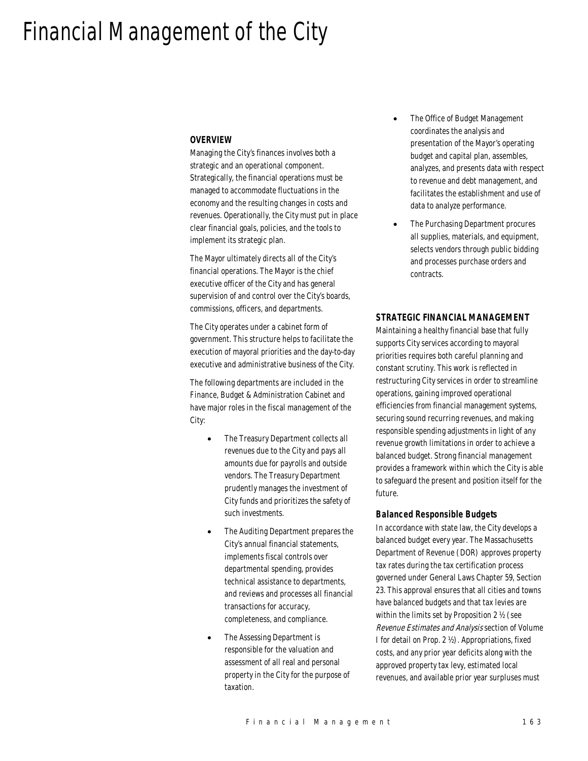# Financial Management of the City

## *OVERVIEW*

Managing the City's finances involves both a strategic and an operational component. Strategically, the financial operations must be managed to accommodate fluctuations in the economy and the resulting changes in costs and revenues. Operationally, the City must put in place clear financial goals, policies, and the tools to implement its strategic plan.

The Mayor ultimately directs all of the City's financial operations. The Mayor is the chief executive officer of the City and has general supervision of and control over the City's boards, commissions, officers, and departments.

The City operates under a cabinet form of government. This structure helps to facilitate the execution of mayoral priorities and the day-to-day executive and administrative business of the City.

The following departments are included in the Finance, Budget & Administration Cabinet and have major roles in the fiscal management of the City:

- The Treasury Department collects all revenues due to the City and pays all amounts due for payrolls and outside vendors. The Treasury Department prudently manages the investment of City funds and prioritizes the safety of such investments.
- The Auditing Department prepares the City's annual financial statements, implements fiscal controls over departmental spending, provides technical assistance to departments, and reviews and processes all financial transactions for accuracy, completeness, and compliance.
- The Assessing Department is responsible for the valuation and assessment of all real and personal property in the City for the purpose of taxation.
- The Office of Budget Management coordinates the analysis and presentation of the Mayor's operating budget and capital plan, assembles, analyzes, and presents data with respect to revenue and debt management, and facilitates the establishment and use of data to analyze performance.
- The Purchasing Department procures all supplies, materials, and equipment, selects vendors through public bidding and processes purchase orders and contracts.

#### *STRATEGIC FINANCIAL MANAGEMENT*

Maintaining a healthy financial base that fully supports City services according to mayoral priorities requires both careful planning and constant scrutiny. This work is reflected in restructuring City services in order to streamline operations, gaining improved operational efficiencies from financial management systems, securing sound recurring revenues, and making responsible spending adjustments in light of any revenue growth limitations in order to achieve a balanced budget. Strong financial management provides a framework within which the City is able to safeguard the present and position itself for the future.

#### *Balanced Responsible Budgets*

In accordance with state law, the City develops a balanced budget every year. The Massachusetts Department of Revenue (DOR) approves property tax rates during the tax certification process governed under General Laws Chapter 59, Section 23. This approval ensures that all cities and towns have balanced budgets and that tax levies are within the limits set by Proposition 2 ½ (see Revenue Estimates and Analysis section of Volume I for detail on Prop. 2 ½). Appropriations, fixed costs, and any prior year deficits along with the approved property tax levy, estimated local revenues, and available prior year surpluses must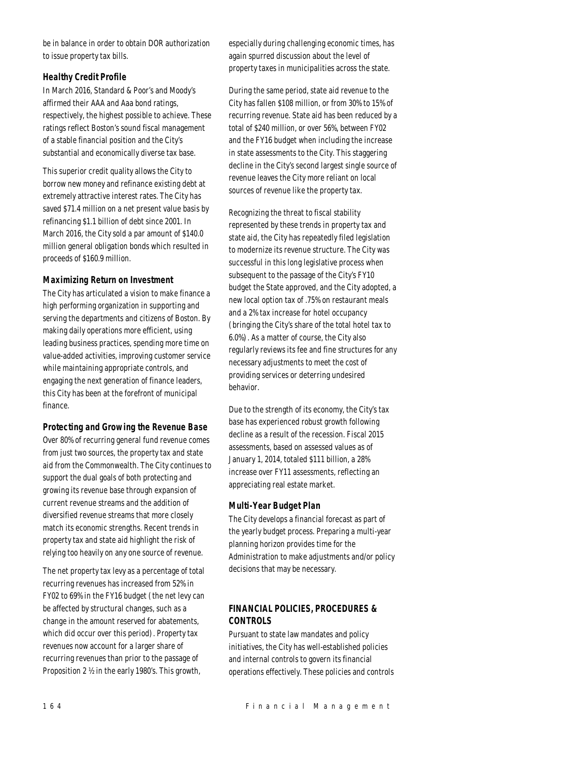be in balance in order to obtain DOR authorization to issue property tax bills.

# *Healthy Credit Profile*

In March 2016, Standard & Poor's and Moody's affirmed their AAA and Aaa bond ratings, respectively, the highest possible to achieve. These ratings reflect Boston's sound fiscal management of a stable financial position and the City's substantial and economically diverse tax base.

This superior credit quality allows the City to borrow new money and refinance existing debt at extremely attractive interest rates. The City has saved \$71.4 million on a net present value basis by refinancing \$1.1 billion of debt since 2001. In March 2016, the City sold a par amount of \$140.0 million general obligation bonds which resulted in proceeds of \$160.9 million.

# *Maximizing Return on Investment*

The City has articulated a vision to make finance a high performing organization in supporting and serving the departments and citizens of Boston. By making daily operations more efficient, using leading business practices, spending more time on value-added activities, improving customer service while maintaining appropriate controls, and engaging the next generation of finance leaders, this City has been at the forefront of municipal finance.

# *Protecting and Growing the Revenue Base*

Over 80% of recurring general fund revenue comes from just two sources, the property tax and state aid from the Commonwealth. The City continues to support the dual goals of both protecting and growing its revenue base through expansion of current revenue streams and the addition of diversified revenue streams that more closely match its economic strengths. Recent trends in property tax and state aid highlight the risk of relying too heavily on any one source of revenue.

The net property tax levy as a percentage of total recurring revenues has increased from 52% in FY02 to 69% in the FY16 budget (the net levy can be affected by structural changes, such as a change in the amount reserved for abatements, which did occur over this period). Property tax revenues now account for a larger share of recurring revenues than prior to the passage of Proposition 2 ½ in the early 1980's. This growth,

especially during challenging economic times, has again spurred discussion about the level of property taxes in municipalities across the state.

During the same period, state aid revenue to the City has fallen \$108 million, or from 30% to 15% of recurring revenue. State aid has been reduced by a total of \$240 million, or over 56%, between FY02 and the FY16 budget when including the increase in state assessments to the City. This staggering decline in the City's second largest single source of revenue leaves the City more reliant on local sources of revenue like the property tax.

Recognizing the threat to fiscal stability represented by these trends in property tax and state aid, the City has repeatedly filed legislation to modernize its revenue structure. The City was successful in this long legislative process when subsequent to the passage of the City's FY10 budget the State approved, and the City adopted, a new local option tax of .75% on restaurant meals and a 2% tax increase for hotel occupancy (bringing the City's share of the total hotel tax to 6.0%). As a matter of course, the City also regularly reviews its fee and fine structures for any necessary adjustments to meet the cost of providing services or deterring undesired behavior.

Due to the strength of its economy, the City's tax base has experienced robust growth following decline as a result of the recession. Fiscal 2015 assessments, based on assessed values as of January 1, 2014, totaled \$111 billion, a 28% increase over FY11 assessments, reflecting an appreciating real estate market.

# *Multi-Year Budget Plan*

The City develops a financial forecast as part of the yearly budget process. Preparing a multi-year planning horizon provides time for the Administration to make adjustments and/or policy decisions that may be necessary.

# *FINANCIAL POLICIES, PROCEDURES & CONTROLS*

Pursuant to state law mandates and policy initiatives, the City has well-established policies and internal controls to govern its financial operations effectively. These policies and controls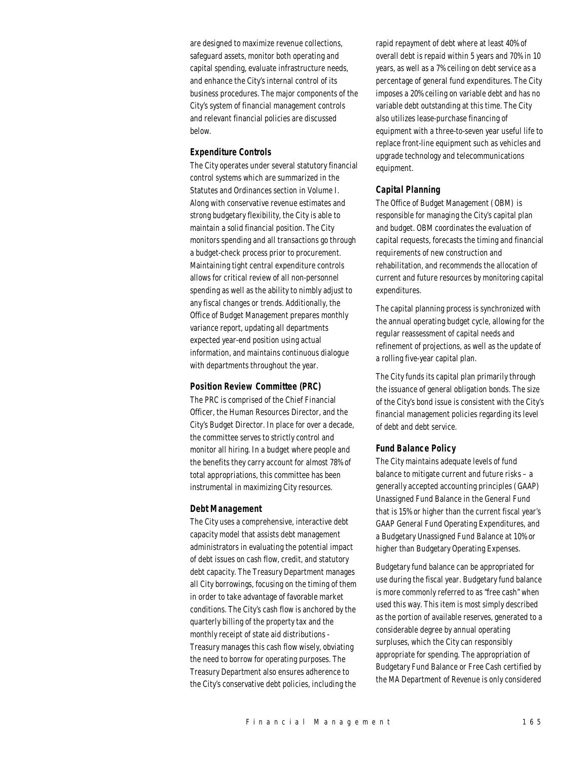are designed to maximize revenue collections, safeguard assets, monitor both operating and capital spending, evaluate infrastructure needs, and enhance the City's internal control of its business procedures. The major components of the City's system of financial management controls and relevant financial policies are discussed below.

#### *Expenditure Controls*

The City operates under several statutory financial control systems which are summarized in the Statutes and Ordinances section in Volume I. Along with conservative revenue estimates and strong budgetary flexibility, the City is able to maintain a solid financial position. The City monitors spending and all transactions go through a budget-check process prior to procurement. Maintaining tight central expenditure controls allows for critical review of all non-personnel spending as well as the ability to nimbly adjust to any fiscal changes or trends. Additionally, the Office of Budget Management prepares monthly variance report, updating all departments expected year-end position using actual information, and maintains continuous dialogue with departments throughout the year.

# *Position Review Committee (PRC)*

The PRC is comprised of the Chief Financial Officer, the Human Resources Director, and the City's Budget Director. In place for over a decade, the committee serves to strictly control and monitor all hiring. In a budget where people and the benefits they carry account for almost 78% of total appropriations, this committee has been instrumental in maximizing City resources.

#### *Debt Management*

The City uses a comprehensive, interactive debt capacity model that assists debt management administrators in evaluating the potential impact of debt issues on cash flow, credit, and statutory debt capacity. The Treasury Department manages all City borrowings, focusing on the timing of them in order to take advantage of favorable market conditions. The City's cash flow is anchored by the quarterly billing of the property tax and the monthly receipt of state aid distributions - Treasury manages this cash flow wisely, obviating the need to borrow for operating purposes. The Treasury Department also ensures adherence to the City's conservative debt policies, including the

rapid repayment of debt where at least 40% of overall debt is repaid within 5 years and 70% in 10 years, as well as a 7% ceiling on debt service as a percentage of general fund expenditures. The City imposes a 20% ceiling on variable debt and has no variable debt outstanding at this time. The City also utilizes lease-purchase financing of equipment with a three-to-seven year useful life to replace front-line equipment such as vehicles and upgrade technology and telecommunications equipment.

#### *Capital Planning*

The Office of Budget Management (OBM) is responsible for managing the City's capital plan and budget. OBM coordinates the evaluation of capital requests, forecasts the timing and financial requirements of new construction and rehabilitation, and recommends the allocation of current and future resources by monitoring capital expenditures.

The capital planning process is synchronized with the annual operating budget cycle, allowing for the regular reassessment of capital needs and refinement of projections, as well as the update of a rolling five-year capital plan.

The City funds its capital plan primarily through the issuance of general obligation bonds. The size of the City's bond issue is consistent with the City's financial management policies regarding its level of debt and debt service.

# *Fund Balance Policy*

The City maintains adequate levels of fund balance to mitigate current and future risks – a generally accepted accounting principles (GAAP) Unassigned Fund Balance in the General Fund that is 15% or higher than the current fiscal year's GAAP General Fund Operating Expenditures, and a Budgetary Unassigned Fund Balance at 10% or higher than Budgetary Operating Expenses.

Budgetary fund balance can be appropriated for use during the fiscal year. Budgetary fund balance is more commonly referred to as "free cash" when used this way. This item is most simply described as the portion of available reserves, generated to a considerable degree by annual operating surpluses, which the City can responsibly appropriate for spending. The appropriation of Budgetary Fund Balance or Free Cash certified by the MA Department of Revenue is only considered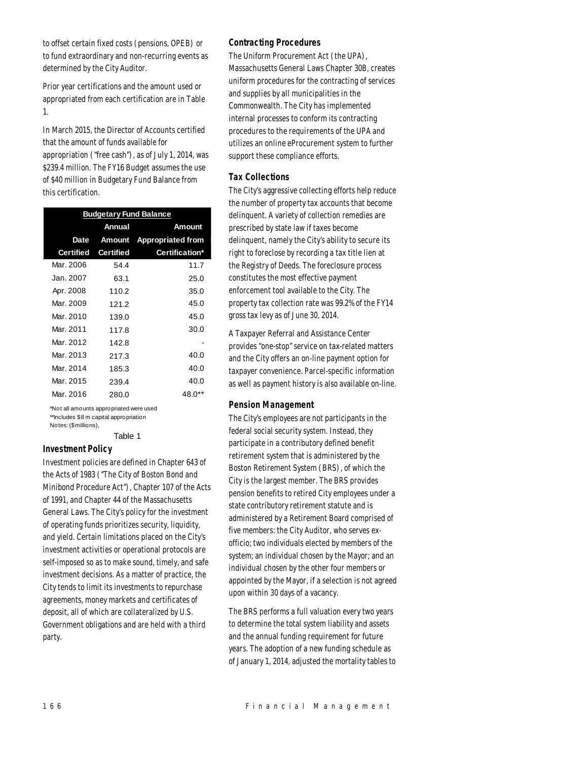to offset certain fixed costs (pensions, OPEB) or to fund extraordinary and non-recurring events as determined by the City Auditor.

Prior year certifications and the amount used or appropriated from each certification are in Table 1.

In March 2015, the Director of Accounts certified that the amount of funds available for appropriation ("free cash"), as of July 1, 2014, was \$239.4 million. The FY16 Budget assumes the use of \$40 million in Budgetary Fund Balance from this certification.

| <b>Budgetary Fund Balance</b> |                  |                          |  |  |
|-------------------------------|------------------|--------------------------|--|--|
|                               | Annual           | Amount                   |  |  |
| Date                          | Amount           | <b>Appropriated from</b> |  |  |
| <b>Certified</b>              | <b>Certified</b> | Certification*           |  |  |
| Mar. 2006                     | 54.4             | 11.7                     |  |  |
| Jan. 2007.                    | 63.1             | 25.0                     |  |  |
| Apr. 2008                     | 110.2            | 35.0                     |  |  |
| Mar. 2009                     | 121.2            | 45.0                     |  |  |
| Mar. 2010                     | 139.0            | 45.0                     |  |  |
| Mar. 2011                     | 117.8            | 30.0                     |  |  |
| Mar. 2012                     | 142.8            |                          |  |  |
| Mar. 2013                     | 217.3            | 40.0                     |  |  |
| Mar. 2014                     | 185.3            | 40.0                     |  |  |
| Mar. 2015                     | 239.4            | 40.0                     |  |  |
| Mar. 2016                     | 280.0            | 48.O                     |  |  |

\*Not all amounts appropriated were used \*\*Includes \$8 m capital appropriation Notes: (\$millions),

Table 1

# *Investment Policy*

Investment policies are defined in Chapter 643 of the Acts of 1983 ("The City of Boston Bond and Minibond Procedure Act"), Chapter 107 of the Acts of 1991, and Chapter 44 of the Massachusetts General Laws. The City's policy for the investment of operating funds prioritizes security, liquidity, and yield. Certain limitations placed on the City's investment activities or operational protocols are self-imposed so as to make sound, timely, and safe investment decisions. As a matter of practice, the City tends to limit its investments to repurchase agreements, money markets and certificates of deposit, all of which are collateralized by U.S. Government obligations and are held with a third party.

#### *Contracting Procedures*

The Uniform Procurement Act (the UPA), Massachusetts General Laws Chapter 30B, creates uniform procedures for the contracting of services and supplies by all municipalities in the Commonwealth. The City has implemented internal processes to conform its contracting procedures to the requirements of the UPA and utilizes an online eProcurement system to further support these compliance efforts.

## *Tax Collections*

The City's aggressive collecting efforts help reduce the number of property tax accounts that become delinquent. A variety of collection remedies are prescribed by state law if taxes become delinquent, namely the City's ability to secure its right to foreclose by recording a tax title lien at the Registry of Deeds. The foreclosure process constitutes the most effective payment enforcement tool available to the City. The property tax collection rate was 99.2% of the FY14 gross tax levy as of June 30, 2014.

A Taxpayer Referral and Assistance Center provides "one-stop" service on tax-related matters and the City offers an on-line payment option for taxpayer convenience. Parcel-specific information as well as payment history is also available on-line.

#### *Pension Management*

The City's employees are not participants in the federal social security system. Instead, they participate in a contributory defined benefit retirement system that is administered by the Boston Retirement System (BRS), of which the City is the largest member. The BRS provides pension benefits to retired City employees under a state contributory retirement statute and is administered by a Retirement Board comprised of five members: the City Auditor, who serves exofficio; two individuals elected by members of the system; an individual chosen by the Mayor; and an individual chosen by the other four members or appointed by the Mayor, if a selection is not agreed upon within 30 days of a vacancy.

The BRS performs a full valuation every two years to determine the total system liability and assets and the annual funding requirement for future years. The adoption of a new funding schedule as of January 1, 2014, adjusted the mortality tables to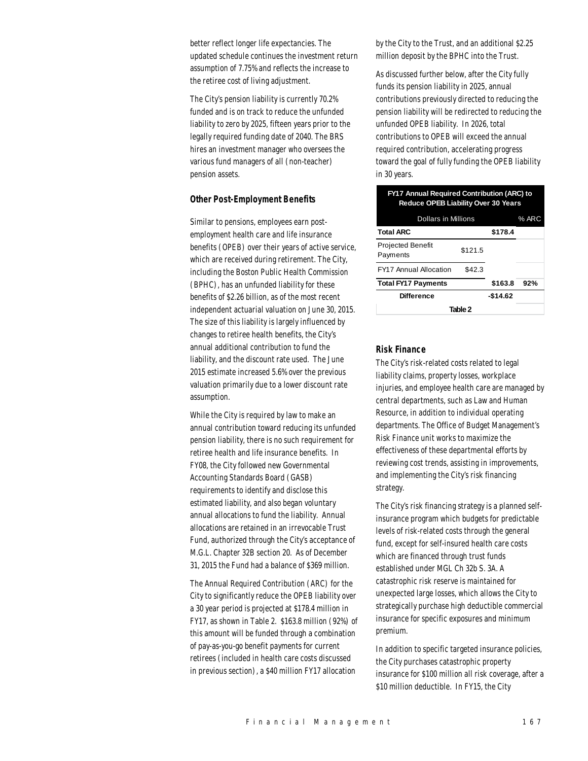better reflect longer life expectancies. The updated schedule continues the investment return assumption of 7.75% and reflects the increase to the retiree cost of living adjustment.

The City's pension liability is currently 70.2% funded and is on track to reduce the unfunded liability to zero by 2025, fifteen years prior to the legally required funding date of 2040. The BRS hires an investment manager who oversees the various fund managers of all (non-teacher) pension assets.

#### *Other Post-Employment Benefits*

Similar to pensions, employees earn postemployment health care and life insurance benefits (OPEB) over their years of active service, which are received during retirement. The City, including the Boston Public Health Commission (BPHC), has an unfunded liability for these benefits of \$2.26 billion, as of the most recent independent actuarial valuation on June 30, 2015. The size of this liability is largely influenced by changes to retiree health benefits, the City's annual additional contribution to fund the liability, and the discount rate used. The June 2015 estimate increased 5.6% over the previous valuation primarily due to a lower discount rate assumption.

While the City is required by law to make an annual contribution toward reducing its unfunded pension liability, there is no such requirement for retiree health and life insurance benefits. In FY08, the City followed new Governmental Accounting Standards Board (GASB) requirements to identify and disclose this estimated liability, and also began voluntary annual allocations to fund the liability. Annual allocations are retained in an irrevocable Trust Fund, authorized through the City's acceptance of M.G.L. Chapter 32B section 20. As of December 31, 2015 the Fund had a balance of \$369 million.

The Annual Required Contribution (ARC) for the City to significantly reduce the OPEB liability over a 30 year period is projected at \$178.4 million in FY17, as shown in Table 2. \$163.8 million (92%) of this amount will be funded through a combination of pay-as-you-go benefit payments for current retirees (included in health care costs discussed in previous section), a \$40 million FY17 allocation

by the City to the Trust, and an additional \$2.25 million deposit by the BPHC into the Trust.

As discussed further below, after the City fully funds its pension liability in 2025, annual contributions previously directed to reducing the pension liability will be redirected to reducing the unfunded OPEB liability. In 2026, total contributions to OPEB will exceed the annual required contribution, accelerating progress toward the goal of fully funding the OPEB liability in 30 years.

| <b>FY17 Annual Required Contribution (ARC) to</b><br><b>Reduce OPEB Liability Over 30 Years</b> |          |         |  |  |
|-------------------------------------------------------------------------------------------------|----------|---------|--|--|
| <b>Dollars in Millions</b><br>% ARC                                                             |          |         |  |  |
| <b>Total ARC</b>                                                                                |          | \$178.4 |  |  |
| <b>Projected Benefit</b><br>Payments                                                            | \$121.5  |         |  |  |
| <b>FY17 Annual Allocation</b>                                                                   | \$42.3   |         |  |  |
| <b>Total FY17 Payments</b>                                                                      | \$163.8  | 92%     |  |  |
| Difference                                                                                      | -\$14.62 |         |  |  |
| Table 2                                                                                         |          |         |  |  |

#### *Risk Finance*

The City's risk-related costs related to legal liability claims, property losses, workplace injuries, and employee health care are managed by central departments, such as Law and Human Resource, in addition to individual operating departments. The Office of Budget Management's Risk Finance unit works to maximize the effectiveness of these departmental efforts by reviewing cost trends, assisting in improvements, and implementing the City's risk financing strategy.

The City's risk financing strategy is a planned selfinsurance program which budgets for predictable levels of risk-related costs through the general fund, except for self-insured health care costs which are financed through trust funds established under MGL Ch 32b S. 3A. A catastrophic risk reserve is maintained for unexpected large losses, which allows the City to strategically purchase high deductible commercial insurance for specific exposures and minimum premium.

In addition to specific targeted insurance policies, the City purchases catastrophic property insurance for \$100 million all risk coverage, after a \$10 million deductible. In FY15, the City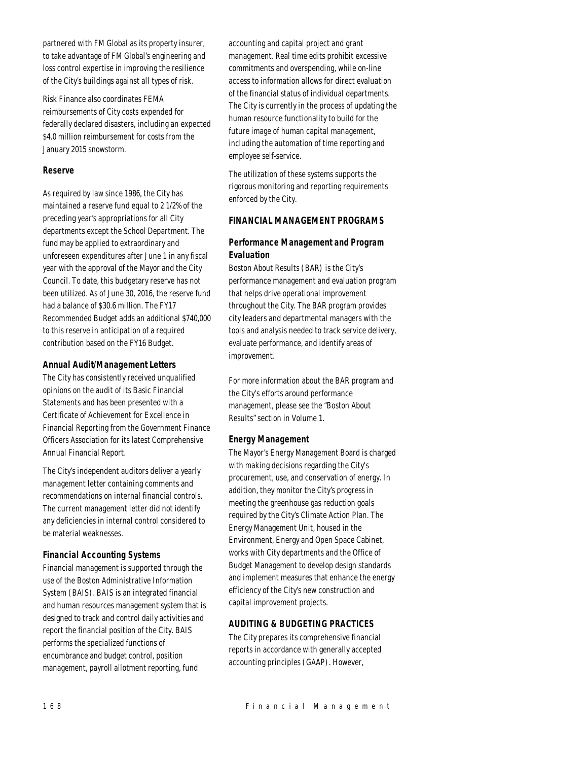partnered with FM Global as its property insurer, to take advantage of FM Global's engineering and loss control expertise in improving the resilience of the City's buildings against all types of risk.

Risk Finance also coordinates FEMA reimbursements of City costs expended for federally declared disasters, including an expected \$4.0 million reimbursement for costs from the January 2015 snowstorm.

# *Reserve*

As required by law since 1986, the City has maintained a reserve fund equal to 2 1/2% of the preceding year's appropriations for all City departments except the School Department. The fund may be applied to extraordinary and unforeseen expenditures after June 1 in any fiscal year with the approval of the Mayor and the City Council. To date, this budgetary reserve has not been utilized. As of June 30, 2016, the reserve fund had a balance of \$30.6 million. The FY17 Recommended Budget adds an additional \$740,000 to this reserve in anticipation of a required contribution based on the FY16 Budget.

# *Annual Audit/Management Letters*

The City has consistently received unqualified opinions on the audit of its Basic Financial Statements and has been presented with a Certificate of Achievement for Excellence in Financial Reporting from the Government Finance Officers Association for its latest Comprehensive Annual Financial Report.

The City's independent auditors deliver a yearly management letter containing comments and recommendations on internal financial controls. The current management letter did not identify any deficiencies in internal control considered to be material weaknesses.

# *Financial Accounting Systems*

Financial management is supported through the use of the Boston Administrative Information System (BAIS). BAIS is an integrated financial and human resources management system that is designed to track and control daily activities and report the financial position of the City. BAIS performs the specialized functions of encumbrance and budget control, position management, payroll allotment reporting, fund

accounting and capital project and grant management. Real time edits prohibit excessive commitments and overspending, while on-line access to information allows for direct evaluation of the financial status of individual departments. The City is currently in the process of updating the human resource functionality to build for the future image of human capital management, including the automation of time reporting and employee self-service.

The utilization of these systems supports the rigorous monitoring and reporting requirements enforced by the City.

# *FINANCIAL MANAGEMENT PROGRAMS*

# *Performance Management and Program Evaluation*

Boston About Results (BAR) is the City's performance management and evaluation program that helps drive operational improvement throughout the City. The BAR program provides city leaders and departmental managers with the tools and analysis needed to track service delivery, evaluate performance, and identify areas of improvement.

For more information about the BAR program and the City's efforts around performance management, please see the "Boston About Results" section in Volume 1.

# *Energy Management*

The Mayor's Energy Management Board is charged with making decisions regarding the City's procurement, use, and conservation of energy. In addition, they monitor the City's progress in meeting the greenhouse gas reduction goals required by the City's Climate Action Plan. The Energy Management Unit, housed in the Environment, Energy and Open Space Cabinet, works with City departments and the Office of Budget Management to develop design standards and implement measures that enhance the energy efficiency of the City's new construction and capital improvement projects.

# *AUDITING & BUDGETING PRACTICES*

The City prepares its comprehensive financial reports in accordance with generally accepted accounting principles (GAAP). However,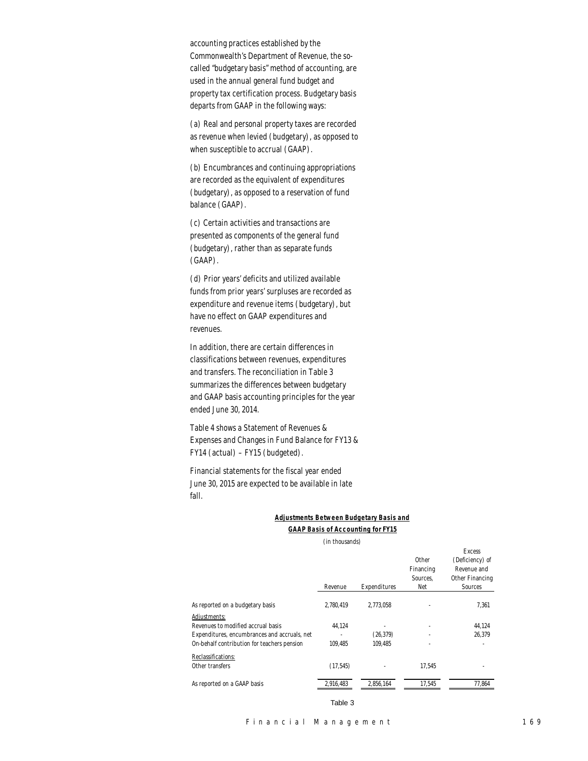accounting practices established by the Commonwealth's Department of Revenue, the socalled "budgetary basis" method of accounting, are used in the annual general fund budget and property tax certification process. Budgetary basis departs from GAAP in the following ways:

(a) Real and personal property taxes are recorded as revenue when levied (budgetary), as opposed to when susceptible to accrual (GAAP).

(b) Encumbrances and continuing appropriations are recorded as the equivalent of expenditures (budgetary), as opposed to a reservation of fund balance (GAAP).

(c) Certain activities and transactions are presented as components of the general fund (budgetary), rather than as separate funds (GAAP).

(d) Prior years' deficits and utilized available funds from prior years' surpluses are recorded as expenditure and revenue items (budgetary), but have no effect on GAAP expenditures and revenues.

In addition, there are certain differences in classifications between revenues, expenditures and transfers. The reconciliation in Table 3 summarizes the differences between budgetary and GAAP basis accounting principles for the year ended June 30, 2014.

Table 4 shows a Statement of Revenues & Expenses and Changes in Fund Balance for FY13 & FY14 (actual) – FY15 (budgeted).

Financial statements for the fiscal year ended June 30, 2015 are expected to be available in late fall.

## *Adjustments Between Budgetary Basis and GAAP Basis of Accounting for FY15*

(in thousands)

|                                              | Revenue   | Expenditures | Other<br>Financing<br>Sources.<br>Net | <b>Excess</b><br>(Deficiency) of<br>Revenue and<br>Other Financing<br><b>Sources</b> |
|----------------------------------------------|-----------|--------------|---------------------------------------|--------------------------------------------------------------------------------------|
| As reported on a budgetary basis             | 2.780.419 | 2.773.058    |                                       | 7.361                                                                                |
| Adjustments:                                 |           |              |                                       |                                                                                      |
| Revenues to modified accrual basis           | 44,124    |              | ٠                                     | 44,124                                                                               |
| Expenditures, encumbrances and accruals, net |           | (26, 379)    | ٠                                     | 26.379                                                                               |
| On-behalf contribution for teachers pension  | 109.485   | 109.485      | ٠                                     |                                                                                      |
| Reclassifications:                           |           |              |                                       |                                                                                      |
| Other transfers                              | (17, 545) |              | 17.545                                |                                                                                      |
| As reported on a GAAP basis                  | 2,916,483 | 2.856.164    | 17,545                                | 77,864                                                                               |

Table 3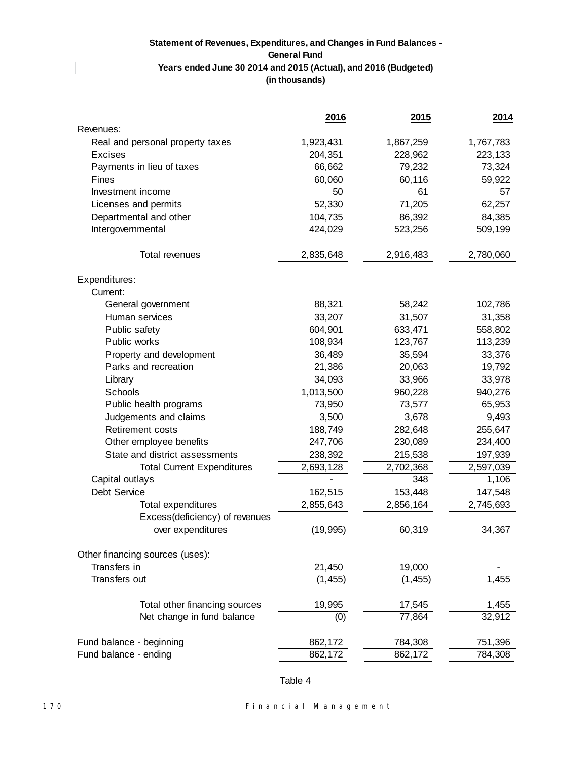# **Statement of Revenues, Expenditures, and Changes in Fund Balances - General Fund Years ended June 30 2014 and 2015 (Actual), and 2016 (Budgeted) (in thousands)**

|                                   | 2016      | 2015      | 2014      |
|-----------------------------------|-----------|-----------|-----------|
| Revenues:                         |           |           |           |
| Real and personal property taxes  | 1,923,431 | 1,867,259 | 1,767,783 |
| <b>Excises</b>                    | 204,351   | 228,962   | 223,133   |
| Payments in lieu of taxes         | 66,662    | 79,232    | 73,324    |
| Fines                             | 60,060    | 60,116    | 59,922    |
| Investment income                 | 50        | 61        | 57        |
| Licenses and permits              | 52,330    | 71,205    | 62,257    |
| Departmental and other            | 104,735   | 86,392    | 84,385    |
| Intergovernmental                 | 424,029   | 523,256   | 509,199   |
| Total revenues                    | 2,835,648 | 2,916,483 | 2,780,060 |
| Expenditures:                     |           |           |           |
| Current:                          |           |           |           |
| General government                | 88,321    | 58,242    | 102,786   |
| Human services                    | 33,207    | 31,507    | 31,358    |
| Public safety                     | 604,901   | 633,471   | 558,802   |
| Public works                      | 108,934   | 123,767   | 113,239   |
| Property and development          | 36,489    | 35,594    | 33,376    |
| Parks and recreation              | 21,386    | 20,063    | 19,792    |
| Library                           | 34,093    | 33,966    | 33,978    |
| Schools                           | 1,013,500 | 960,228   | 940,276   |
| Public health programs            | 73,950    | 73,577    | 65,953    |
| Judgements and claims             | 3,500     | 3,678     | 9,493     |
| <b>Retirement costs</b>           | 188,749   | 282,648   | 255,647   |
| Other employee benefits           | 247,706   | 230,089   | 234,400   |
| State and district assessments    | 238,392   | 215,538   | 197,939   |
| <b>Total Current Expenditures</b> | 2,693,128 | 2,702,368 | 2,597,039 |
| Capital outlays                   |           | 348       | 1,106     |
| Debt Service                      | 162,515   | 153,448   | 147,548   |
| Total expenditures                | 2,855,643 | 2,856,164 | 2,745,693 |
| Excess(deficiency) of revenues    |           |           |           |
| over expenditures                 | (19, 995) | 60,319    | 34,367    |
| Other financing sources (uses):   |           |           |           |
| Transfers in                      | 21,450    | 19,000    |           |
| Transfers out                     | (1, 455)  | (1, 455)  | 1,455     |
| Total other financing sources     | 19,995    | 17,545    | 1,455     |
| Net change in fund balance        | (0)       | 77,864    | 32,912    |
| Fund balance - beginning          | 862,172   | 784,308   | 751,396   |
| Fund balance - ending             | 862,172   | 862,172   | 784,308   |

Table 4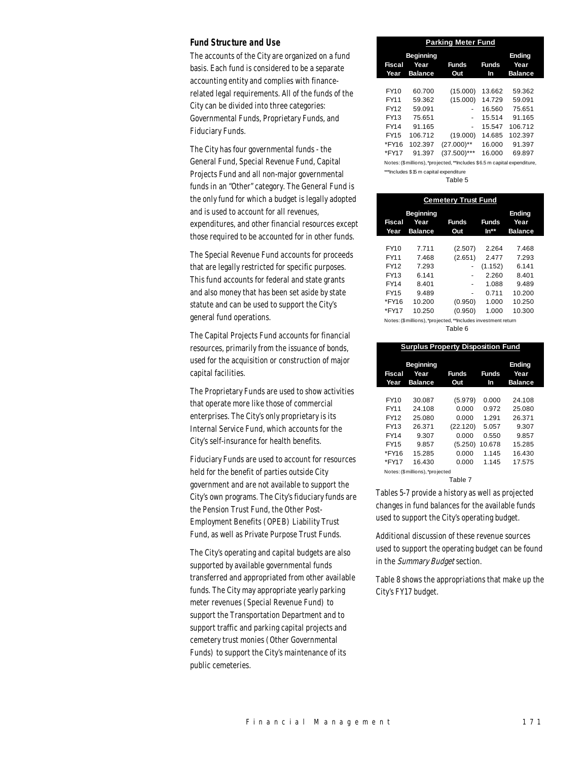#### *Fund Structure and Use*

The accounts of the City are organized on a fund basis. Each fund is considered to be a separate accounting entity and complies with financerelated legal requirements. All of the funds of the City can be divided into three categories: Governmental Funds, Proprietary Funds, and Fiduciary Funds.

The City has four governmental funds - the General Fund, Special Revenue Fund, Capital Projects Fund and all non-major governmental funds in an "Other" category. The General Fund is the only fund for which a budget is legally adopted and is used to account for all revenues, expenditures, and other financial resources except those required to be accounted for in other funds.

The Special Revenue Fund accounts for proceeds that are legally restricted for specific purposes. This fund accounts for federal and state grants and also money that has been set aside by state statute and can be used to support the City's general fund operations.

The Capital Projects Fund accounts for financial resources, primarily from the issuance of bonds, used for the acquisition or construction of major capital facilities.

The Proprietary Funds are used to show activities that operate more like those of commercial enterprises. The City's only proprietary is its Internal Service Fund, which accounts for the City's self-insurance for health benefits.

Fiduciary Funds are used to account for resources held for the benefit of parties outside City government and are not available to support the City's own programs. The City's fiduciary funds are the Pension Trust Fund, the Other Post-Employment Benefits (OPEB) Liability Trust Fund, as well as Private Purpose Trust Funds.

The City's operating and capital budgets are also supported by available governmental funds transferred and appropriated from other available funds. The City may appropriate yearly parking meter revenues (Special Revenue Fund) to support the Transportation Department and to support traffic and parking capital projects and cemetery trust monies (Other Governmental Funds) to support the City's maintenance of its public cemeteries.

| <b>Parking Meter Fund</b>                                                |                                            |                     |                    |                                  |  |  |
|--------------------------------------------------------------------------|--------------------------------------------|---------------------|--------------------|----------------------------------|--|--|
| <b>Fiscal</b><br>Year                                                    | <b>Beginning</b><br>Year<br><b>Balance</b> | <b>Funds</b><br>Out | <b>Funds</b><br>In | Ending<br>Year<br><b>Balance</b> |  |  |
|                                                                          |                                            |                     |                    |                                  |  |  |
| FY10                                                                     | 60.700                                     | (15.000)            | 13.662             | 59.362                           |  |  |
| FY11                                                                     | 59.362                                     | (15.000)            | 14.729             | 59.091                           |  |  |
| FY12                                                                     | 59.091                                     | ٠                   | 16.560             | 75.651                           |  |  |
| FY13                                                                     | 75.651                                     | ٠                   | 15.514             | 91.165                           |  |  |
| FY14                                                                     | 91.165                                     | ۰                   | 15.547             | 106.712                          |  |  |
| FY15                                                                     | 106.712                                    | (19.000)            | 14.685             | 102.397                          |  |  |
| *FY16                                                                    | 102.397                                    | $(27.000)$ **       | 16.000             | 91.397                           |  |  |
| *FY17                                                                    | 91.397                                     | $(37.500)$ ***      | 16.000             | 69.897                           |  |  |
| Notes: (\$millions), *projected, **Includes \$6.5 m capital expenditure, |                                            |                     |                    |                                  |  |  |
| ***Includes \$15 m capital expenditure                                   |                                            |                     |                    |                                  |  |  |

Table 5

| <b>Cemetery Trust Fund</b>                                    |                                            |                     |                      |                                         |  |  |
|---------------------------------------------------------------|--------------------------------------------|---------------------|----------------------|-----------------------------------------|--|--|
| Fiscal<br>Year                                                | <b>Beginning</b><br>Year<br><b>Balance</b> | <b>Funds</b><br>Out | <b>Funds</b><br>In** | <b>Ending</b><br>Year<br><b>Balance</b> |  |  |
| FY10                                                          | 7.711                                      | (2.507)             | 2.264                | 7.468                                   |  |  |
| FY11                                                          | 7.468                                      | (2.651)             | 2.477                | 7.293                                   |  |  |
| FY12                                                          | 7.293                                      |                     | (1.152)              | 6.141                                   |  |  |
| FY13                                                          | 6.141                                      |                     | 2.260                | 8.401                                   |  |  |
| FY14                                                          | 8.401                                      |                     | 1.088                | 9.489                                   |  |  |
| FY15                                                          | 9.489                                      |                     | 0.711                | 10.200                                  |  |  |
| *FY16                                                         | 10.200                                     | (0.950)             | 1.000                | 10.250                                  |  |  |
| *FY17                                                         | 10.250                                     | (0.950)             | 1.000                | 10.300                                  |  |  |
| Notes: (\$millions), *projected, **Includes investment return |                                            |                     |                      |                                         |  |  |

Table 6

| <b>Surplus Property Disposition Fund</b> |                                            |                     |             |                                  |  |  |
|------------------------------------------|--------------------------------------------|---------------------|-------------|----------------------------------|--|--|
| <b>Fiscal</b><br>Year                    | <b>Beginning</b><br>Year<br><b>Balance</b> | <b>Funds</b><br>Out | Funds<br>In | Ending<br>Year<br><b>Balance</b> |  |  |
|                                          |                                            |                     |             |                                  |  |  |
| FY10                                     | 30.087                                     | (5.979)             | 0.000       | 24.108                           |  |  |
| FY11                                     | 24.108                                     | 0.000               | 0.972       | 25.080                           |  |  |
| FY12                                     | 25.080                                     | 0.000               | 1.291       | 26.371                           |  |  |
| FY13                                     | 26.371                                     | (22.120)            | 5.057       | 9.307                            |  |  |
| FY14                                     | 9.307                                      | 0.000               | 0.550       | 9.857                            |  |  |
| FY15                                     | 9.857                                      | (5.250)             | 10.678      | 15.285                           |  |  |
| *FY16                                    | 15.285                                     | 0.000               | 1.145       | 16.430                           |  |  |
| *FY17                                    | 16.430                                     | 0.000               | 1 1 4 5     | 17.575                           |  |  |
|                                          | Notes: (\$millions), *projected            |                     |             |                                  |  |  |
|                                          |                                            | Table 7             |             |                                  |  |  |

Tables 5-7 provide a history as well as projected changes in fund balances for the available funds used to support the City's operating budget.

Additional discussion of these revenue sources used to support the operating budget can be found in the Summary Budget section.

Table 8 shows the appropriations that make up the City's FY17 budget.